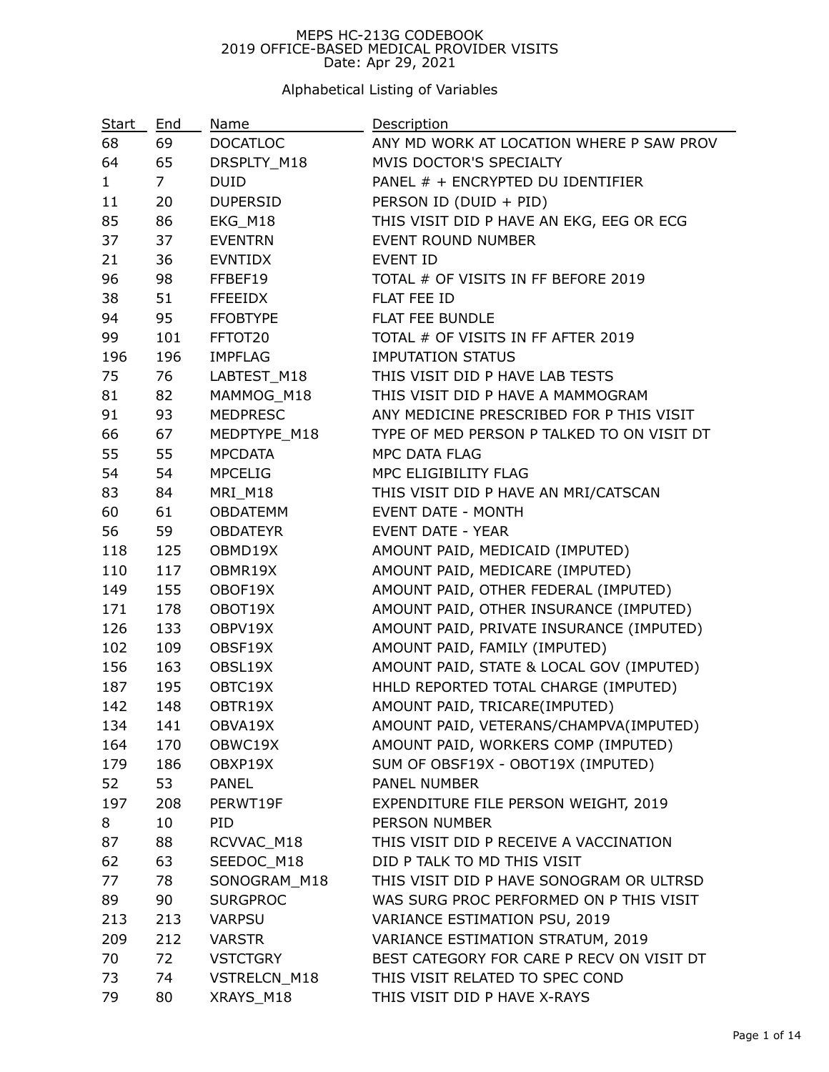#### MEPS HC-213G CODEBOOK 2019 OFFICE-BASED MEDICAL PROVIDER VISITS Date: Apr 29, 2021

## Alphabetical Listing of Variables

| Start        | End            | Name            | Description                                |
|--------------|----------------|-----------------|--------------------------------------------|
| 68           | 69             | <b>DOCATLOC</b> | ANY MD WORK AT LOCATION WHERE P SAW PROV   |
| 64           | 65             | DRSPLTY_M18     | MVIS DOCTOR'S SPECIALTY                    |
| $\mathbf{1}$ | 7 <sup>7</sup> | <b>DUID</b>     | PANEL # + ENCRYPTED DU IDENTIFIER          |
| 11           | 20             | <b>DUPERSID</b> | PERSON ID (DUID + PID)                     |
| 85           | 86             | EKG_M18         | THIS VISIT DID P HAVE AN EKG, EEG OR ECG   |
| 37           | 37             | <b>EVENTRN</b>  | <b>EVENT ROUND NUMBER</b>                  |
| 21           | 36             | EVNTIDX         | <b>EVENT ID</b>                            |
| 96           | 98             | FFBEF19         | TOTAL # OF VISITS IN FF BEFORE 2019        |
| 38           | 51             | <b>FFEEIDX</b>  | FLAT FEE ID                                |
| 94           | 95             | <b>FFOBTYPE</b> | <b>FLAT FEE BUNDLE</b>                     |
| 99           | 101            | FFTOT20         | TOTAL # OF VISITS IN FF AFTER 2019         |
| 196          | 196            | <b>IMPFLAG</b>  | <b>IMPUTATION STATUS</b>                   |
| 75           | 76             | LABTEST_M18     | THIS VISIT DID P HAVE LAB TESTS            |
| 81           | 82             | MAMMOG_M18      | THIS VISIT DID P HAVE A MAMMOGRAM          |
| 91           | 93             | <b>MEDPRESC</b> | ANY MEDICINE PRESCRIBED FOR P THIS VISIT   |
| 66           | 67             | MEDPTYPE M18    | TYPE OF MED PERSON P TALKED TO ON VISIT DT |
| 55           | 55             | <b>MPCDATA</b>  | MPC DATA FLAG                              |
| 54           | 54             | MPCELIG         | MPC ELIGIBILITY FLAG                       |
| 83           | 84             | MRI_M18         | THIS VISIT DID P HAVE AN MRI/CATSCAN       |
| 60           | 61             | OBDATEMM        | <b>EVENT DATE - MONTH</b>                  |
| 56           | 59             | <b>OBDATEYR</b> | <b>EVENT DATE - YEAR</b>                   |
| 118          | 125            | OBMD19X         | AMOUNT PAID, MEDICAID (IMPUTED)            |
| 110          | 117            | OBMR19X         | AMOUNT PAID, MEDICARE (IMPUTED)            |
| 149          | 155            | OBOF19X         | AMOUNT PAID, OTHER FEDERAL (IMPUTED)       |
| 171          | 178            | OBOT19X         | AMOUNT PAID, OTHER INSURANCE (IMPUTED)     |
| 126          | 133            | OBPV19X         | AMOUNT PAID, PRIVATE INSURANCE (IMPUTED)   |
| 102          | 109            | OBSF19X         | AMOUNT PAID, FAMILY (IMPUTED)              |
| 156          | 163            | OBSL19X         | AMOUNT PAID, STATE & LOCAL GOV (IMPUTED)   |
| 187          | 195            | OBTC19X         | HHLD REPORTED TOTAL CHARGE (IMPUTED)       |
| 142          | 148            | OBTR19X         | AMOUNT PAID, TRICARE(IMPUTED)              |
| 134          | 141            | OBVA19X         | AMOUNT PAID, VETERANS/CHAMPVA(IMPUTED)     |
| 164          | 170            | OBWC19X         | AMOUNT PAID, WORKERS COMP (IMPUTED)        |
| 179          | 186            | OBXP19X         | SUM OF OBSF19X - OBOT19X (IMPUTED)         |
| 52           | 53             | <b>PANEL</b>    | <b>PANEL NUMBER</b>                        |
| 197          | 208            | PERWT19F        | EXPENDITURE FILE PERSON WEIGHT, 2019       |
| 8            | 10             | PID             | PERSON NUMBER                              |
| 87           | 88             | RCVVAC M18      | THIS VISIT DID P RECEIVE A VACCINATION     |
| 62           | 63             | SEEDOC_M18      | DID P TALK TO MD THIS VISIT                |
| 77           | 78             | SONOGRAM M18    | THIS VISIT DID P HAVE SONOGRAM OR ULTRSD   |
| 89           | 90             | <b>SURGPROC</b> | WAS SURG PROC PERFORMED ON P THIS VISIT    |
| 213          | 213            | <b>VARPSU</b>   | VARIANCE ESTIMATION PSU, 2019              |
| 209          | 212            | <b>VARSTR</b>   | VARIANCE ESTIMATION STRATUM, 2019          |
| 70           | 72             | <b>VSTCTGRY</b> | BEST CATEGORY FOR CARE P RECV ON VISIT DT  |
| 73           | 74             | VSTRELCN_M18    | THIS VISIT RELATED TO SPEC COND            |
| 79           | 80             | XRAYS_M18       | THIS VISIT DID P HAVE X-RAYS               |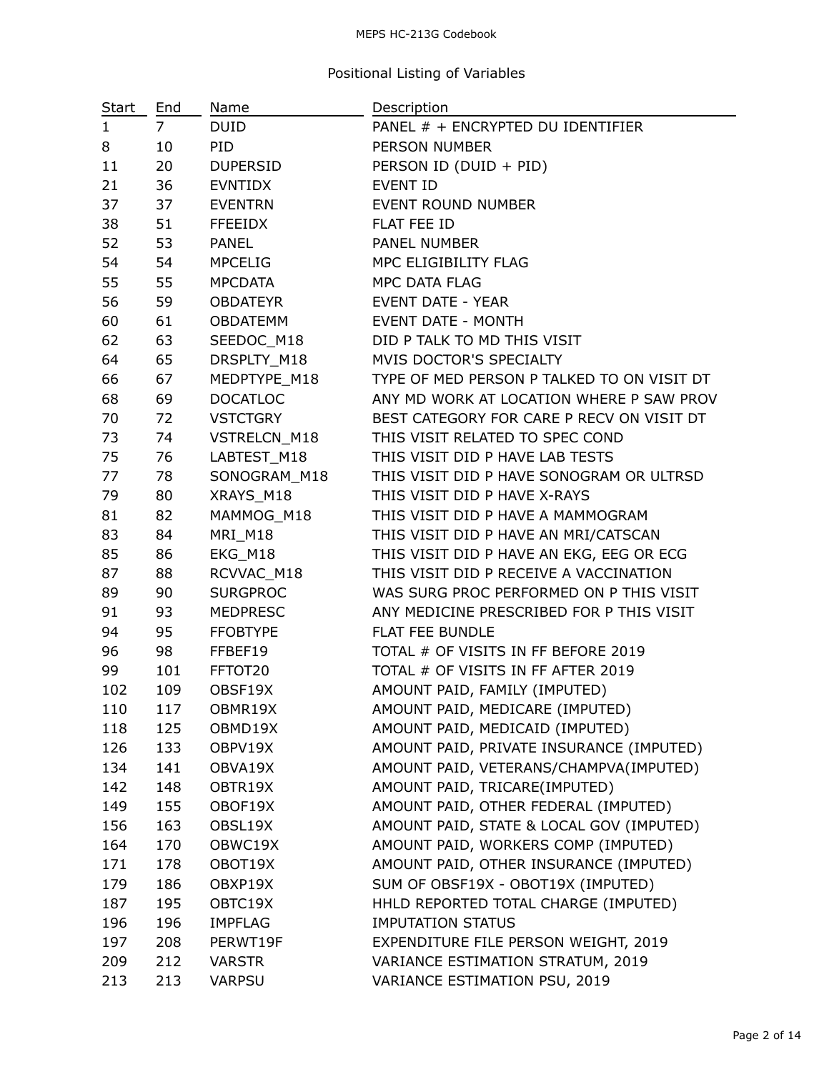### MEPS HC-213G Codebook

# Positional Listing of Variables

| <b>Start</b> | End            | Name            | Description                                |
|--------------|----------------|-----------------|--------------------------------------------|
| $\mathbf{1}$ | $\overline{7}$ | <b>DUID</b>     | PANEL # + ENCRYPTED DU IDENTIFIER          |
| 8            | 10             | PID.            | PERSON NUMBER                              |
| 11           | 20             | DUPERSID        | PERSON ID (DUID + PID)                     |
| 21           | 36             | <b>EVNTIDX</b>  | <b>EVENT ID</b>                            |
| 37           | 37             | <b>EVENTRN</b>  | EVENT ROUND NUMBER                         |
| 38           | 51             | <b>FFEEIDX</b>  | FLAT FEE ID                                |
| 52           | 53             | <b>PANEL</b>    | PANEL NUMBER                               |
| 54           | 54             | <b>MPCELIG</b>  | MPC ELIGIBILITY FLAG                       |
| 55           | 55             | MPCDATA         | MPC DATA FLAG                              |
| 56           | 59             | OBDATEYR        | <b>EVENT DATE - YEAR</b>                   |
| 60           | 61             | OBDATEMM        | <b>EVENT DATE - MONTH</b>                  |
| 62           | 63             | SEEDOC_M18      | DID P TALK TO MD THIS VISIT                |
| 64           | 65             | DRSPLTY_M18     | MVIS DOCTOR'S SPECIALTY                    |
| 66           | 67             | MEDPTYPE_M18    | TYPE OF MED PERSON P TALKED TO ON VISIT DT |
| 68           | 69             | <b>DOCATLOC</b> | ANY MD WORK AT LOCATION WHERE P SAW PROV   |
| 70           | 72             | <b>VSTCTGRY</b> | BEST CATEGORY FOR CARE P RECV ON VISIT DT  |
| 73           | 74             | VSTRELCN_M18    | THIS VISIT RELATED TO SPEC COND            |
| 75           | 76             | LABTEST_M18     | THIS VISIT DID P HAVE LAB TESTS            |
| 77           | 78             | SONOGRAM M18    | THIS VISIT DID P HAVE SONOGRAM OR ULTRSD   |
| 79           | 80             | XRAYS_M18       | THIS VISIT DID P HAVE X-RAYS               |
| 81           | 82             | MAMMOG_M18      | THIS VISIT DID P HAVE A MAMMOGRAM          |
| 83           | 84             | MRI_M18         | THIS VISIT DID P HAVE AN MRI/CATSCAN       |
| 85           | 86             | EKG_M18         | THIS VISIT DID P HAVE AN EKG, EEG OR ECG   |
| 87           | 88             | RCVVAC_M18      | THIS VISIT DID P RECEIVE A VACCINATION     |
| 89           | 90             | <b>SURGPROC</b> | WAS SURG PROC PERFORMED ON P THIS VISIT    |
| 91           | 93             | <b>MEDPRESC</b> | ANY MEDICINE PRESCRIBED FOR P THIS VISIT   |
| 94           | 95             | <b>FFOBTYPE</b> | FLAT FEE BUNDLE                            |
| 96           | 98             | FFBEF19         | TOTAL # OF VISITS IN FF BEFORE 2019        |
| 99           | 101            | FFTOT20         | TOTAL # OF VISITS IN FF AFTER 2019         |
| 102          | 109            | OBSF19X         | AMOUNT PAID, FAMILY (IMPUTED)              |
| 110          | 117            | OBMR19X         | AMOUNT PAID, MEDICARE (IMPUTED)            |
| 118          | 125            | OBMD19X         | AMOUNT PAID, MEDICAID (IMPUTED)            |
| 126          | 133            | OBPV19X         | AMOUNT PAID, PRIVATE INSURANCE (IMPUTED)   |
| 134          | 141            | OBVA19X         | AMOUNT PAID, VETERANS/CHAMPVA(IMPUTED)     |
| 142          | 148            | OBTR19X         | AMOUNT PAID, TRICARE(IMPUTED)              |
| 149          | 155            | OBOF19X         | AMOUNT PAID, OTHER FEDERAL (IMPUTED)       |
| 156          | 163            | OBSL19X         | AMOUNT PAID, STATE & LOCAL GOV (IMPUTED)   |
| 164          | 170            | OBWC19X         | AMOUNT PAID, WORKERS COMP (IMPUTED)        |
| 171          | 178            | OBOT19X         | AMOUNT PAID, OTHER INSURANCE (IMPUTED)     |
| 179          | 186            | OBXP19X         | SUM OF OBSF19X - OBOT19X (IMPUTED)         |
| 187          | 195            | OBTC19X         | HHLD REPORTED TOTAL CHARGE (IMPUTED)       |
| 196          | 196            | <b>IMPFLAG</b>  | <b>IMPUTATION STATUS</b>                   |
| 197          | 208            | PERWT19F        | EXPENDITURE FILE PERSON WEIGHT, 2019       |
| 209          | 212            | <b>VARSTR</b>   | VARIANCE ESTIMATION STRATUM, 2019          |
| 213          | 213            | <b>VARPSU</b>   | VARIANCE ESTIMATION PSU, 2019              |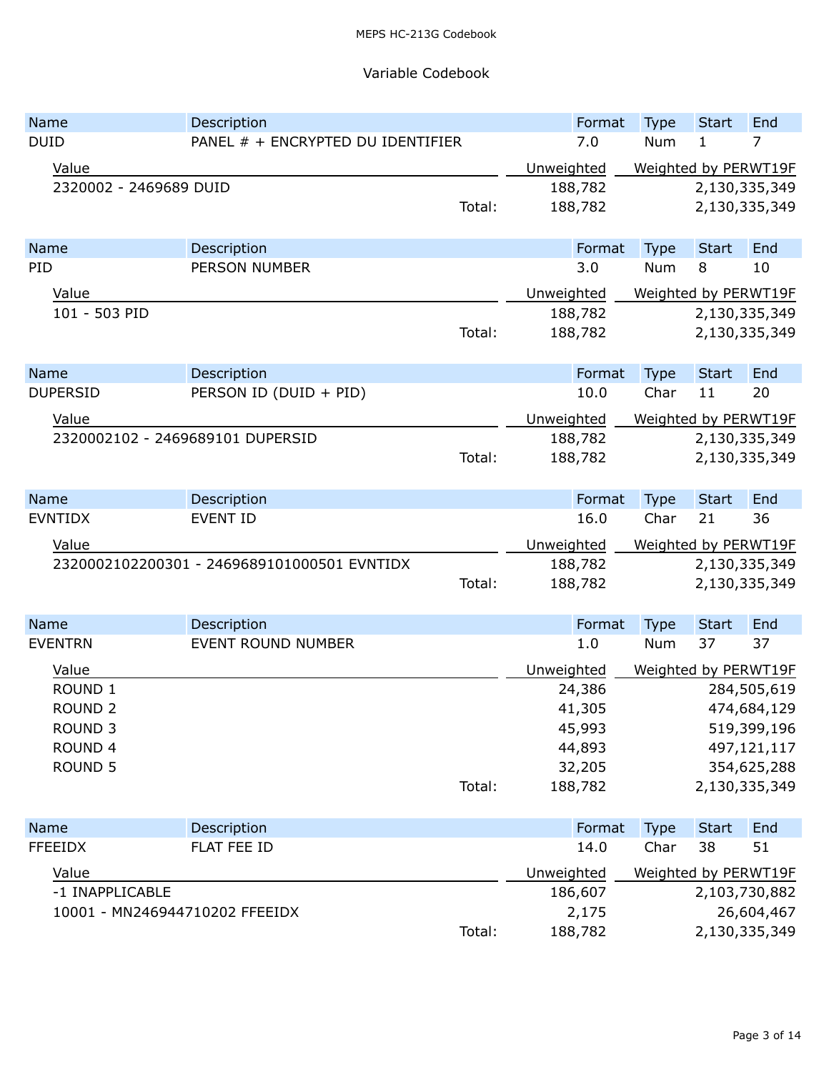### Variable Codebook

| Name                             | Description                                 |        |            | Format  | <b>Type</b>          | <b>Start</b>  | End           |
|----------------------------------|---------------------------------------------|--------|------------|---------|----------------------|---------------|---------------|
| <b>DUID</b>                      | PANEL # + ENCRYPTED DU IDENTIFIER           |        |            | 7.0     | Num                  | 1             | 7             |
| Value                            |                                             |        | Unweighted |         | Weighted by PERWT19F |               |               |
| 2320002 - 2469689 DUID           |                                             |        |            | 188,782 |                      |               | 2,130,335,349 |
|                                  |                                             | Total: |            | 188,782 |                      |               | 2,130,335,349 |
| Name                             | Description                                 |        |            | Format  | <b>Type</b>          | <b>Start</b>  | End           |
| PID                              | <b>PERSON NUMBER</b>                        |        |            | 3.0     | Num                  | 8             | 10            |
| Value                            |                                             |        | Unweighted |         | Weighted by PERWT19F |               |               |
| 101 - 503 PID                    |                                             |        |            | 188,782 |                      |               | 2,130,335,349 |
|                                  |                                             | Total: |            | 188,782 |                      |               | 2,130,335,349 |
| <b>Name</b>                      | Description                                 |        |            | Format  | <b>Type</b>          | <b>Start</b>  | End           |
| <b>DUPERSID</b>                  | PERSON ID (DUID + PID)                      |        |            | 10.0    | Char                 | 11            | 20            |
| Value                            |                                             |        | Unweighted |         | Weighted by PERWT19F |               |               |
| 2320002102 - 2469689101 DUPERSID |                                             |        | 188,782    |         |                      | 2,130,335,349 |               |
|                                  |                                             | Total: |            | 188,782 |                      |               | 2,130,335,349 |
| <b>Name</b>                      | Description                                 |        |            | Format  | Type                 | <b>Start</b>  | End           |
| <b>EVNTIDX</b>                   | <b>EVENT ID</b>                             |        |            | 16.0    | Char                 | 21            | 36            |
|                                  |                                             |        |            |         |                      |               |               |
| Value                            |                                             |        |            |         |                      |               |               |
|                                  | 2320002102200301 - 2469689101000501 EVNTIDX |        | Unweighted | 188,782 | Weighted by PERWT19F |               | 2,130,335,349 |
|                                  |                                             | Total: |            | 188,782 |                      |               | 2,130,335,349 |
| Name                             | Description                                 |        |            | Format  | <b>Type</b>          | <b>Start</b>  | End           |
| <b>EVENTRN</b>                   | EVENT ROUND NUMBER                          |        |            | 1.0     | Num                  | 37            | 37            |
| Value                            |                                             |        | Unweighted |         | Weighted by PERWT19F |               |               |
| ROUND <sub>1</sub>               |                                             |        |            | 24,386  |                      |               | 284,505,619   |
| <b>ROUND 2</b>                   |                                             |        |            | 41,305  |                      |               | 474,684,129   |
| <b>ROUND 3</b>                   |                                             |        |            | 45,993  |                      |               | 519,399,196   |
| ROUND 4                          |                                             |        |            | 44,893  |                      |               | 497,121,117   |
| <b>ROUND 5</b>                   |                                             |        |            | 32,205  |                      |               | 354,625,288   |
|                                  |                                             | Total: |            | 188,782 |                      |               | 2,130,335,349 |
| Name                             | Description                                 |        |            | Format  | <b>Type</b>          | <b>Start</b>  | End           |
| <b>FFEEIDX</b>                   | FLAT FEE ID                                 |        |            | 14.0    | Char                 | 38            | 51            |
|                                  |                                             |        |            |         |                      |               |               |
| Value<br>-1 INAPPLICABLE         |                                             |        | Unweighted | 186,607 | Weighted by PERWT19F |               | 2,103,730,882 |
| 10001 - MN246944710202 FFEEIDX   |                                             |        |            | 2,175   |                      |               | 26,604,467    |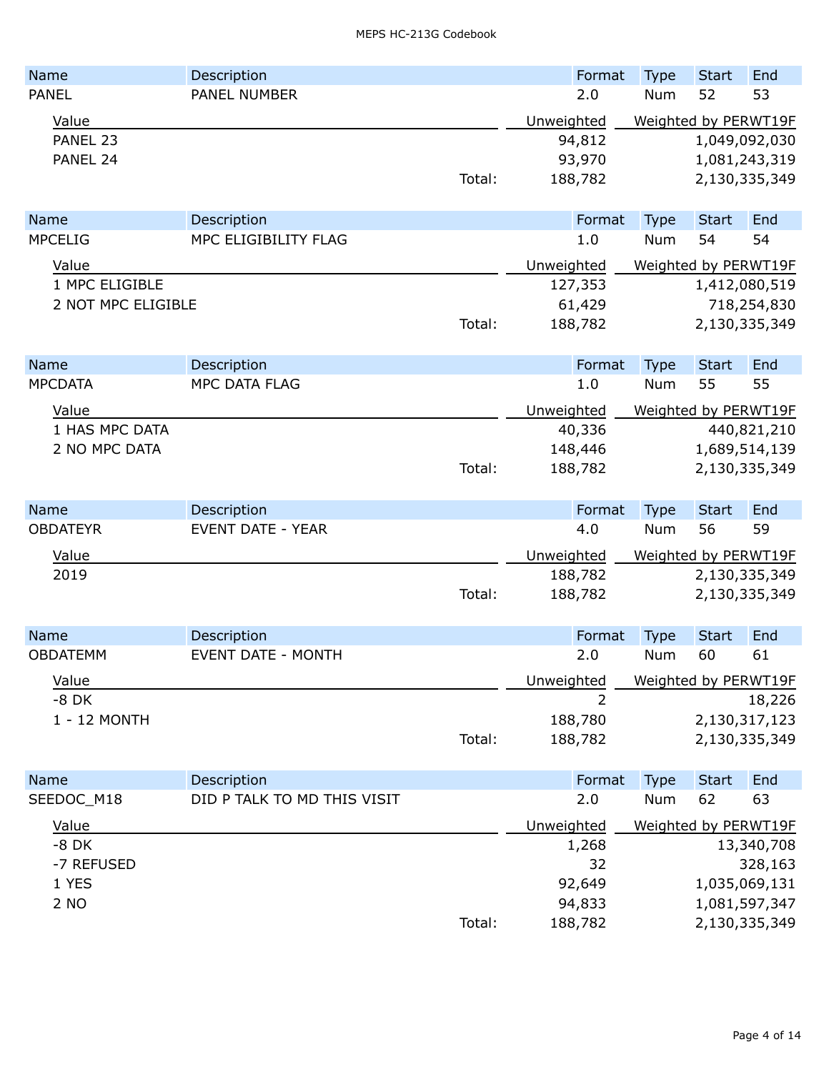| Name               | Description                 |        | Format             | <b>Type</b> | <b>Start</b>                   | End                  |  |
|--------------------|-----------------------------|--------|--------------------|-------------|--------------------------------|----------------------|--|
| <b>PANEL</b>       | PANEL NUMBER                |        | 2.0                | Num         | 52                             | 53                   |  |
| Value              |                             |        | Unweighted         |             |                                | Weighted by PERWT19F |  |
| PANEL 23           |                             |        | 94,812             |             |                                | 1,049,092,030        |  |
| PANEL 24           |                             |        | 93,970             |             |                                | 1,081,243,319        |  |
|                    |                             | Total: | 188,782            |             |                                | 2,130,335,349        |  |
| Name               | Description                 |        | Format             | <b>Type</b> | <b>Start</b>                   | End                  |  |
| <b>MPCELIG</b>     | MPC ELIGIBILITY FLAG        |        | 1.0                | Num         | 54                             | 54                   |  |
| Value              |                             |        | Unweighted         |             |                                | Weighted by PERWT19F |  |
| 1 MPC ELIGIBLE     |                             |        | 127,353            |             |                                | 1,412,080,519        |  |
| 2 NOT MPC ELIGIBLE |                             |        | 61,429             |             |                                | 718,254,830          |  |
|                    |                             | Total: | 188,782            |             |                                | 2,130,335,349        |  |
|                    |                             |        |                    |             |                                |                      |  |
| <b>Name</b>        | Description                 |        | Format             | <b>Type</b> | <b>Start</b>                   | End                  |  |
| <b>MPCDATA</b>     | MPC DATA FLAG               |        | 1.0                | Num         | 55                             | 55                   |  |
| Value              |                             |        | Unweighted         |             |                                | Weighted by PERWT19F |  |
| 1 HAS MPC DATA     |                             |        | 40,336             |             |                                | 440,821,210          |  |
| 2 NO MPC DATA      |                             | Total: | 148,446<br>188,782 |             | 1,689,514,139<br>2,130,335,349 |                      |  |
|                    |                             |        |                    |             |                                |                      |  |
| <b>Name</b>        | Description                 |        | Format             | <b>Type</b> | <b>Start</b>                   | End                  |  |
| <b>OBDATEYR</b>    | <b>EVENT DATE - YEAR</b>    |        | 4.0                | Num         | 56                             | 59                   |  |
| Value              |                             |        | Unweighted         |             |                                | Weighted by PERWT19F |  |
| 2019               |                             |        | 188,782            |             |                                | 2,130,335,349        |  |
|                    |                             | Total: | 188,782            |             |                                | 2,130,335,349        |  |
| <b>Name</b>        | Description                 |        | Format             | <b>Type</b> | <b>Start</b>                   | End                  |  |
| <b>OBDATEMM</b>    | <b>EVENT DATE - MONTH</b>   |        | 2.0                | <b>Num</b>  | 60                             | 61                   |  |
| Value              |                             |        | Unweighted         |             |                                | Weighted by PERWT19F |  |
| $-8$ DK            |                             |        | 2                  |             |                                | 18,226               |  |
| 1 - 12 MONTH       |                             |        | 188,780            |             |                                | 2,130,317,123        |  |
|                    |                             | Total: | 188,782            |             |                                | 2,130,335,349        |  |
| Name               | Description                 |        | Format             | <b>Type</b> | <b>Start</b>                   | End                  |  |
| SEEDOC_M18         | DID P TALK TO MD THIS VISIT |        | 2.0                | Num         | 62                             | 63                   |  |
| Value              |                             |        | Unweighted         |             |                                | Weighted by PERWT19F |  |
| $-8$ DK            |                             |        | 1,268              |             |                                | 13,340,708           |  |
| -7 REFUSED         |                             |        | 32                 |             |                                | 328,163              |  |
| 1 YES              |                             |        | 92,649             |             |                                | 1,035,069,131        |  |
| 2 NO               |                             |        | 94,833             |             |                                | 1,081,597,347        |  |
|                    |                             | Total: | 188,782            |             |                                | 2,130,335,349        |  |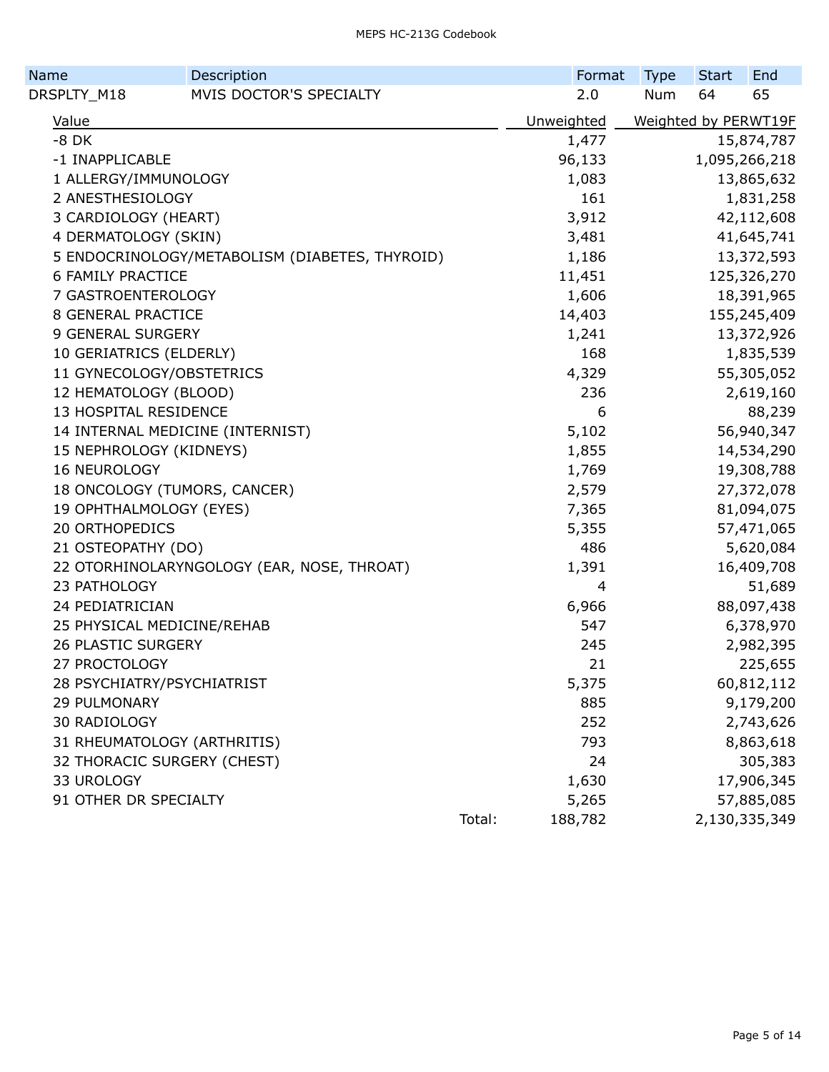| Name                      | Description                                    |        | Format     | <b>Type</b> | <b>Start</b> | End                  |
|---------------------------|------------------------------------------------|--------|------------|-------------|--------------|----------------------|
| DRSPLTY_M18               | MVIS DOCTOR'S SPECIALTY                        |        | 2.0        | <b>Num</b>  | 64           | 65                   |
| Value                     |                                                |        | Unweighted |             |              | Weighted by PERWT19F |
| $-8$ DK                   |                                                |        | 1,477      |             |              | 15,874,787           |
| -1 INAPPLICABLE           |                                                |        | 96,133     |             |              | 1,095,266,218        |
| 1 ALLERGY/IMMUNOLOGY      |                                                |        | 1,083      |             |              | 13,865,632           |
| 2 ANESTHESIOLOGY          |                                                |        | 161        |             |              | 1,831,258            |
| 3 CARDIOLOGY (HEART)      |                                                |        | 3,912      |             |              | 42,112,608           |
| 4 DERMATOLOGY (SKIN)      |                                                |        | 3,481      |             |              | 41,645,741           |
|                           | 5 ENDOCRINOLOGY/METABOLISM (DIABETES, THYROID) |        | 1,186      |             |              | 13,372,593           |
| <b>6 FAMILY PRACTICE</b>  |                                                |        | 11,451     |             |              | 125,326,270          |
| 7 GASTROENTEROLOGY        |                                                |        | 1,606      |             |              | 18,391,965           |
| <b>8 GENERAL PRACTICE</b> |                                                |        | 14,403     |             |              | 155,245,409          |
| 9 GENERAL SURGERY         |                                                |        | 1,241      |             |              | 13,372,926           |
| 10 GERIATRICS (ELDERLY)   |                                                |        | 168        |             |              | 1,835,539            |
|                           | 11 GYNECOLOGY/OBSTETRICS                       |        | 4,329      |             |              | 55,305,052           |
| 12 HEMATOLOGY (BLOOD)     |                                                |        | 236        |             |              | 2,619,160            |
| 13 HOSPITAL RESIDENCE     |                                                |        | 6          |             |              | 88,239               |
|                           | 14 INTERNAL MEDICINE (INTERNIST)               |        | 5,102      |             |              | 56,940,347           |
| 15 NEPHROLOGY (KIDNEYS)   |                                                |        | 1,855      |             |              | 14,534,290           |
| 16 NEUROLOGY              |                                                |        | 1,769      |             |              | 19,308,788           |
|                           | 18 ONCOLOGY (TUMORS, CANCER)                   |        | 2,579      |             |              | 27,372,078           |
| 19 OPHTHALMOLOGY (EYES)   |                                                |        | 7,365      |             |              | 81,094,075           |
| <b>20 ORTHOPEDICS</b>     |                                                |        | 5,355      |             |              | 57,471,065           |
| 21 OSTEOPATHY (DO)        |                                                |        | 486        |             |              | 5,620,084            |
|                           | 22 OTORHINOLARYNGOLOGY (EAR, NOSE, THROAT)     |        | 1,391      |             |              | 16,409,708           |
| 23 PATHOLOGY              |                                                |        | 4          |             |              | 51,689               |
| 24 PEDIATRICIAN           |                                                |        | 6,966      |             |              | 88,097,438           |
|                           | 25 PHYSICAL MEDICINE/REHAB                     |        | 547        |             |              | 6,378,970            |
| 26 PLASTIC SURGERY        |                                                |        | 245        |             |              | 2,982,395            |
| 27 PROCTOLOGY             |                                                |        | 21         |             |              | 225,655              |
|                           | 28 PSYCHIATRY/PSYCHIATRIST                     |        | 5,375      |             |              | 60,812,112           |
| 29 PULMONARY              |                                                |        | 885        |             |              | 9,179,200            |
| 30 RADIOLOGY              |                                                |        | 252        |             |              | 2,743,626            |
|                           | 31 RHEUMATOLOGY (ARTHRITIS)                    |        | 793        |             |              | 8,863,618            |
|                           | 32 THORACIC SURGERY (CHEST)                    |        | 24         |             |              | 305,383              |
| 33 UROLOGY                |                                                |        | 1,630      |             |              | 17,906,345           |
| 91 OTHER DR SPECIALTY     |                                                |        | 5,265      |             |              | 57,885,085           |
|                           |                                                | Total: | 188,782    |             |              | 2,130,335,349        |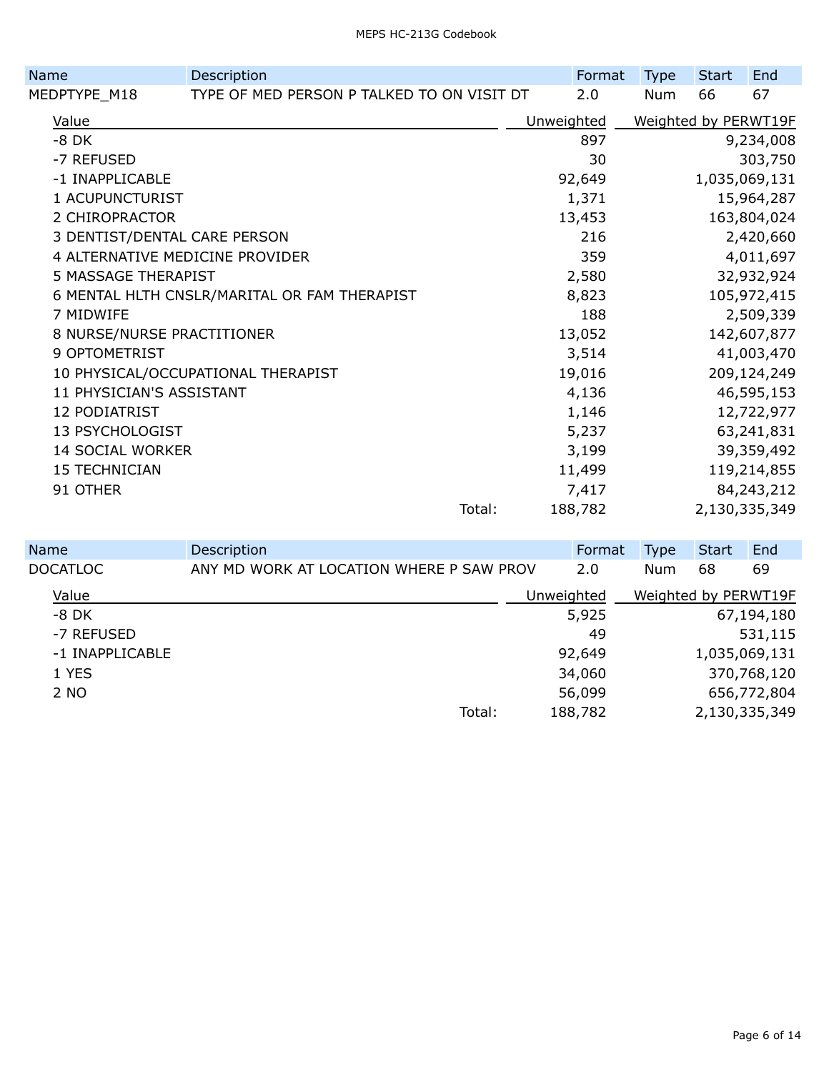| Name                            | Description                                  |        | Format     | <b>Type</b>          | <b>Start</b> | End           |
|---------------------------------|----------------------------------------------|--------|------------|----------------------|--------------|---------------|
| MEDPTYPE_M18                    | TYPE OF MED PERSON P TALKED TO ON VISIT DT   |        | 2.0        | Num                  | 66           | 67            |
| Value                           |                                              |        | Unweighted | Weighted by PERWT19F |              |               |
| $-8$ DK                         |                                              |        | 897        |                      |              | 9,234,008     |
| -7 REFUSED                      |                                              |        | 30         |                      |              | 303,750       |
| -1 INAPPLICABLE                 |                                              |        | 92,649     |                      |              | 1,035,069,131 |
| 1 ACUPUNCTURIST                 |                                              |        | 1,371      |                      |              | 15,964,287    |
| 2 CHIROPRACTOR                  |                                              |        | 13,453     |                      |              | 163,804,024   |
| 3 DENTIST/DENTAL CARE PERSON    |                                              |        | 216        |                      |              | 2,420,660     |
| 4 ALTERNATIVE MEDICINE PROVIDER |                                              |        | 359        |                      |              | 4,011,697     |
| 5 MASSAGE THERAPIST             |                                              |        | 2,580      |                      |              | 32,932,924    |
|                                 | 6 MENTAL HLTH CNSLR/MARITAL OR FAM THERAPIST |        | 8,823      |                      |              | 105,972,415   |
| 7 MIDWIFE                       |                                              |        | 188        |                      |              | 2,509,339     |
| 8 NURSE/NURSE PRACTITIONER      |                                              |        | 13,052     |                      |              | 142,607,877   |
| 9 OPTOMETRIST                   |                                              |        | 3,514      |                      |              | 41,003,470    |
|                                 | 10 PHYSICAL/OCCUPATIONAL THERAPIST           |        | 19,016     |                      |              | 209,124,249   |
| 11 PHYSICIAN'S ASSISTANT        |                                              |        | 4,136      |                      |              | 46,595,153    |
| 12 PODIATRIST                   |                                              |        | 1,146      |                      |              | 12,722,977    |
| 13 PSYCHOLOGIST                 |                                              |        | 5,237      |                      |              | 63,241,831    |
| <b>14 SOCIAL WORKER</b>         |                                              |        | 3,199      |                      |              | 39,359,492    |
| <b>15 TECHNICIAN</b>            |                                              |        | 11,499     |                      |              | 119,214,855   |
| 91 OTHER                        |                                              |        | 7,417      |                      |              | 84,243,212    |
|                                 |                                              | Total: | 188,782    |                      |              | 2,130,335,349 |

| Name            | Description                              |            | Format  | <b>Type</b>          | <b>Start</b>  | End         |
|-----------------|------------------------------------------|------------|---------|----------------------|---------------|-------------|
| <b>DOCATLOC</b> | ANY MD WORK AT LOCATION WHERE P SAW PROV |            | 2.0     | Num                  | 68            | 69          |
| Value           |                                          | Unweighted |         | Weighted by PERWT19F |               |             |
| $-8$ DK         |                                          |            | 5,925   |                      |               | 67,194,180  |
| -7 REFUSED      |                                          |            | 49      |                      |               | 531,115     |
| -1 INAPPLICABLE |                                          |            | 92,649  |                      | 1,035,069,131 |             |
| 1 YES           |                                          |            | 34,060  |                      |               | 370,768,120 |
| 2 NO            |                                          |            | 56,099  |                      |               | 656,772,804 |
|                 | Total:                                   |            | 188,782 |                      | 2,130,335,349 |             |
|                 |                                          |            |         |                      |               |             |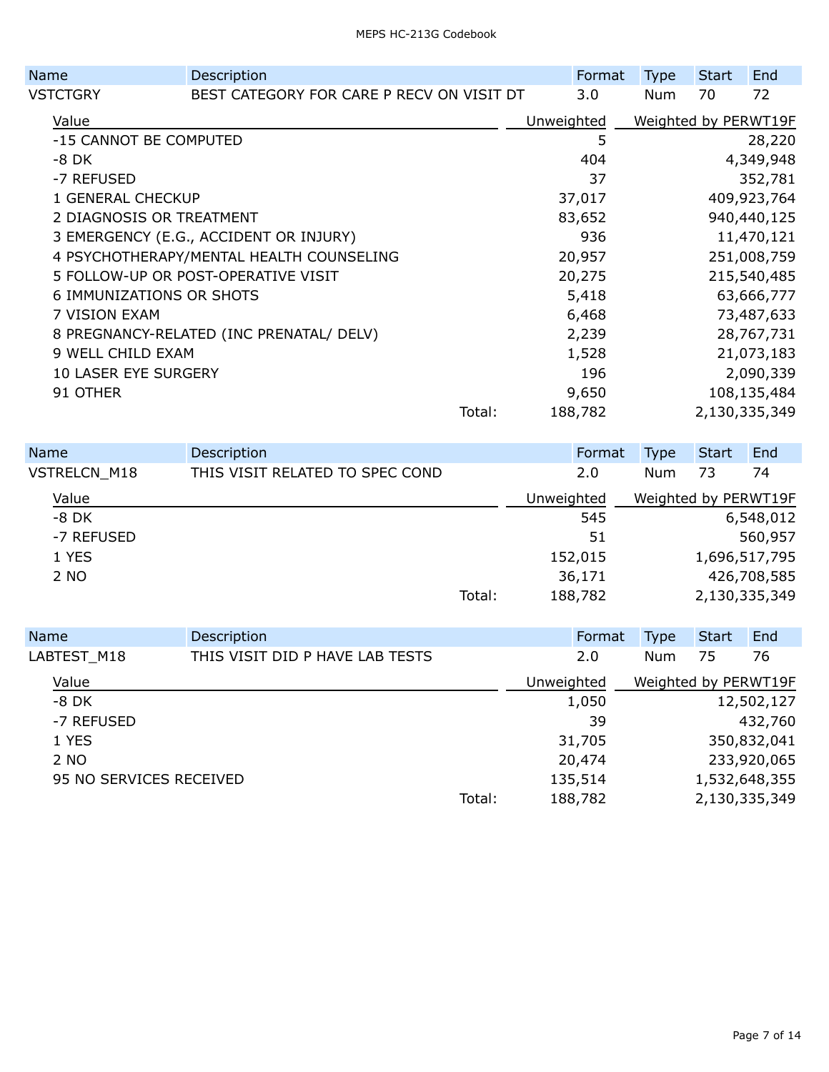| Name                     | Description                     |                                           |        | Format     | <b>Type</b> | <b>Start</b>         | End         |               |
|--------------------------|---------------------------------|-------------------------------------------|--------|------------|-------------|----------------------|-------------|---------------|
| VSTCTGRY                 |                                 | BEST CATEGORY FOR CARE P RECV ON VISIT DT |        |            | 3.0         | <b>Num</b>           | 70          | 72            |
| Value                    |                                 |                                           |        | Unweighted |             | Weighted by PERWT19F |             |               |
|                          | -15 CANNOT BE COMPUTED          |                                           |        |            | 5           |                      |             | 28,220        |
| -8 DK                    |                                 |                                           |        |            | 404         |                      |             | 4,349,948     |
| -7 REFUSED               |                                 |                                           |        |            | 37          |                      |             | 352,781       |
|                          | 1 GENERAL CHECKUP               |                                           |        |            | 37,017      |                      |             | 409,923,764   |
| 2 DIAGNOSIS OR TREATMENT |                                 |                                           |        | 83,652     |             |                      | 940,440,125 |               |
|                          |                                 | 3 EMERGENCY (E.G., ACCIDENT OR INJURY)    |        |            | 936         |                      |             | 11,470,121    |
|                          |                                 | 4 PSYCHOTHERAPY/MENTAL HEALTH COUNSELING  |        |            | 20,957      |                      |             | 251,008,759   |
|                          |                                 | 5 FOLLOW-UP OR POST-OPERATIVE VISIT       |        |            | 20,275      |                      |             | 215,540,485   |
|                          | <b>6 IMMUNIZATIONS OR SHOTS</b> |                                           |        |            | 5,418       |                      |             | 63,666,777    |
|                          | 7 VISION EXAM                   |                                           |        |            | 6,468       |                      |             | 73,487,633    |
|                          |                                 | 8 PREGNANCY-RELATED (INC PRENATAL/ DELV)  |        |            | 2,239       |                      |             | 28,767,731    |
|                          | 9 WELL CHILD EXAM               |                                           |        |            | 1,528       |                      |             | 21,073,183    |
|                          | <b>10 LASER EYE SURGERY</b>     |                                           |        |            | 196         |                      |             | 2,090,339     |
| 91 OTHER                 |                                 |                                           |        |            | 9,650       |                      |             | 108,135,484   |
|                          |                                 |                                           | Total: |            | 188,782     |                      |             | 2,130,335,349 |
|                          |                                 |                                           |        |            |             |                      |             |               |

| <b>Name</b>         | Description                     |            | Format  | <b>Type</b>          | <b>Start</b>  | End         |
|---------------------|---------------------------------|------------|---------|----------------------|---------------|-------------|
| <b>VSTRELCN M18</b> | THIS VISIT RELATED TO SPEC COND |            | 2.0     | <b>Num</b>           | 73            | 74          |
| Value               |                                 | Unweighted |         | Weighted by PERWT19F |               |             |
| $-8$ DK             |                                 |            | 545     |                      |               | 6,548,012   |
| -7 REFUSED          |                                 |            | 51      |                      |               | 560,957     |
| 1 YES               |                                 |            | 152,015 |                      | 1,696,517,795 |             |
| 2 NO                |                                 |            | 36,171  |                      |               | 426,708,585 |
|                     | Total:                          |            | 188,782 |                      | 2,130,335,349 |             |
|                     |                                 |            |         |                      |               |             |

| Name                    | Description                     |        |            | Format  | <b>Type</b>          | Start | End           |
|-------------------------|---------------------------------|--------|------------|---------|----------------------|-------|---------------|
| LABTEST M18             | THIS VISIT DID P HAVE LAB TESTS |        |            | 2.0     | Num                  | 75    | 76            |
| Value                   |                                 |        | Unweighted |         | Weighted by PERWT19F |       |               |
| -8 DK                   |                                 |        |            | 1,050   |                      |       | 12,502,127    |
| -7 REFUSED              |                                 |        |            | 39      |                      |       | 432,760       |
| 1 YES                   |                                 |        |            | 31,705  |                      |       | 350,832,041   |
| 2 NO                    |                                 |        |            | 20,474  |                      |       | 233,920,065   |
| 95 NO SERVICES RECEIVED |                                 |        |            | 135,514 |                      |       | 1,532,648,355 |
|                         |                                 | Total: |            | 188,782 |                      |       | 2,130,335,349 |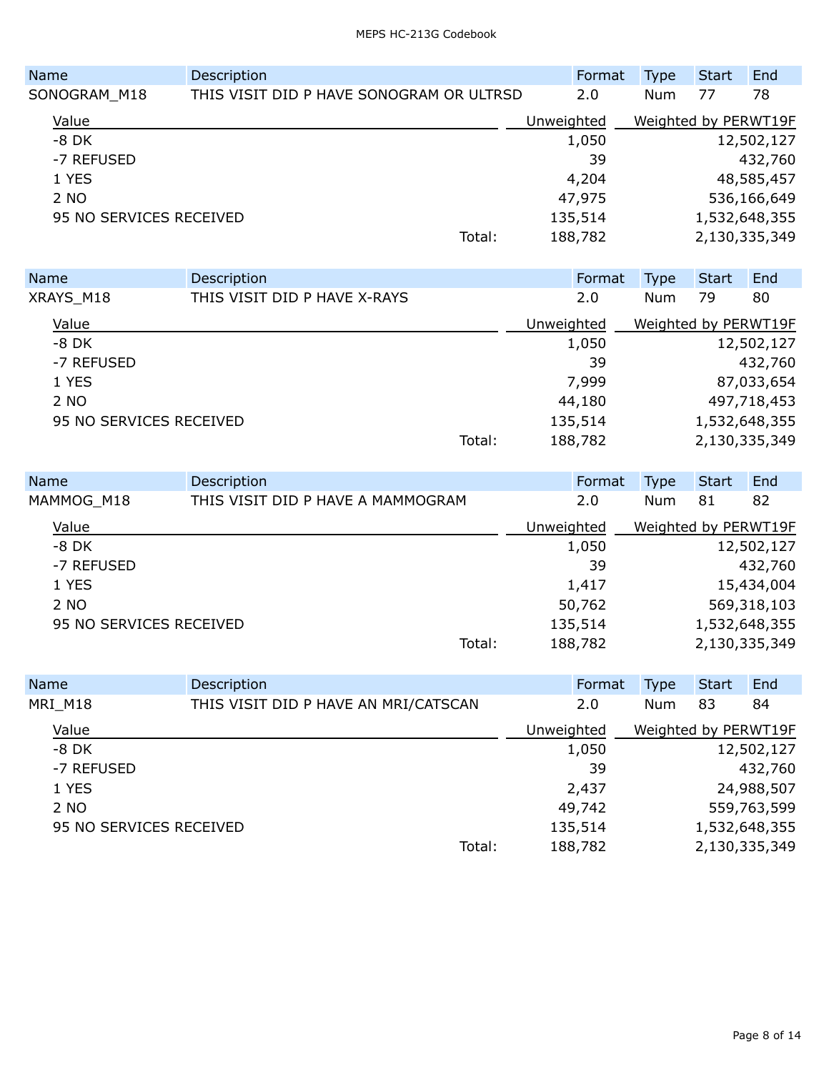| Name         |                         | Description                              |            | Format | <b>Type</b>          | <b>Start</b>  | End         |
|--------------|-------------------------|------------------------------------------|------------|--------|----------------------|---------------|-------------|
| SONOGRAM M18 |                         | THIS VISIT DID P HAVE SONOGRAM OR ULTRSD |            | 2.0    | Num                  | 77            | 78          |
| Value        |                         |                                          | Unweighted |        | Weighted by PERWT19F |               |             |
| $-8$ DK      |                         |                                          |            | 1,050  |                      |               | 12,502,127  |
| -7 REFUSED   |                         |                                          |            | 39     |                      |               | 432,760     |
| 1 YES        |                         |                                          | 4,204      |        |                      |               | 48,585,457  |
| 2 NO         |                         |                                          | 47,975     |        |                      |               | 536,166,649 |
|              | 95 NO SERVICES RECEIVED |                                          | 135,514    |        |                      | 1,532,648,355 |             |
|              |                         | Total:                                   | 188,782    |        |                      | 2,130,335,349 |             |
|              |                         |                                          |            |        |                      |               |             |

| <b>Name</b>             | Description                  |        | Format     | <b>Type</b>          | Start | End           |
|-------------------------|------------------------------|--------|------------|----------------------|-------|---------------|
| XRAYS M18               | THIS VISIT DID P HAVE X-RAYS |        | 2.0        | <b>Num</b>           | 79    | 80            |
| Value                   |                              |        | Unweighted | Weighted by PERWT19F |       |               |
| -8 DK                   |                              |        | 1,050      |                      |       | 12,502,127    |
| -7 REFUSED              |                              |        | 39         |                      |       | 432,760       |
| 1 YES                   |                              |        | 7,999      |                      |       | 87,033,654    |
| 2 NO                    |                              |        | 44,180     |                      |       | 497,718,453   |
| 95 NO SERVICES RECEIVED |                              |        | 135,514    |                      |       | 1,532,648,355 |
|                         |                              | Total: | 188,782    |                      |       | 2,130,335,349 |

| Name                    | Description                       |            | Format  | Type                 | <b>Start</b>  | End         |
|-------------------------|-----------------------------------|------------|---------|----------------------|---------------|-------------|
| MAMMOG M18              | THIS VISIT DID P HAVE A MAMMOGRAM |            | 2.0     | Num                  | 81            | 82          |
| Value                   |                                   | Unweighted |         | Weighted by PERWT19F |               |             |
| -8 DK                   |                                   |            | 1,050   |                      |               | 12,502,127  |
| -7 REFUSED              |                                   |            | 39      |                      |               | 432,760     |
| 1 YES                   |                                   |            | 1,417   |                      |               | 15,434,004  |
| 2 NO                    |                                   |            | 50,762  |                      |               | 569,318,103 |
| 95 NO SERVICES RECEIVED |                                   |            | 135,514 |                      | 1,532,648,355 |             |
|                         |                                   | Total:     | 188,782 |                      | 2,130,335,349 |             |

| Name                    | Description                          |            | Format  | <b>Type</b>          | <b>Start</b>  | End         |
|-------------------------|--------------------------------------|------------|---------|----------------------|---------------|-------------|
| MRI M18                 | THIS VISIT DID P HAVE AN MRI/CATSCAN |            | 2.0     | Num                  | 83            | 84          |
| Value                   |                                      | Unweighted |         | Weighted by PERWT19F |               |             |
| -8 DK                   |                                      |            | 1,050   |                      |               | 12,502,127  |
| -7 REFUSED              |                                      |            | 39      |                      |               | 432,760     |
| 1 YES                   |                                      |            | 2,437   |                      |               | 24,988,507  |
| 2 NO                    |                                      |            | 49,742  |                      |               | 559,763,599 |
| 95 NO SERVICES RECEIVED |                                      |            | 135,514 |                      | 1,532,648,355 |             |
|                         | Total:                               |            | 188,782 |                      | 2,130,335,349 |             |
|                         |                                      |            |         |                      |               |             |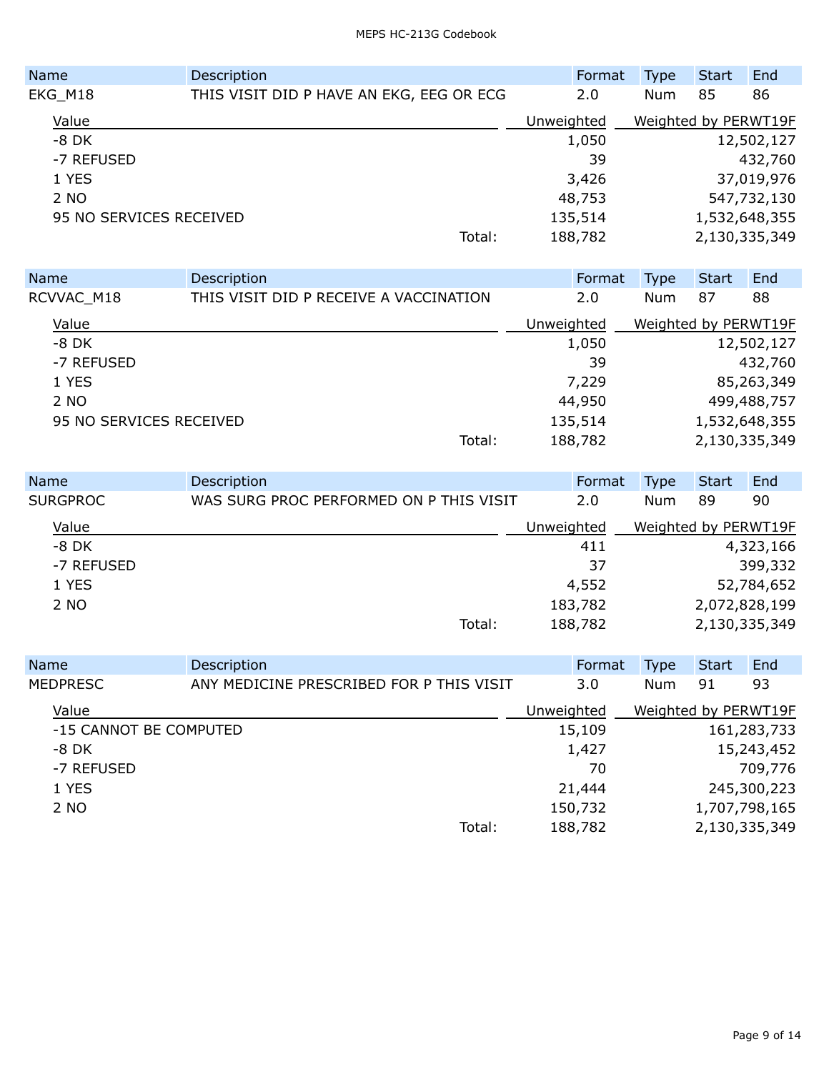| Name                    | Description                              |            | Format  | <b>Type</b>          | <b>Start</b>  | End         |
|-------------------------|------------------------------------------|------------|---------|----------------------|---------------|-------------|
| EKG_M18                 | THIS VISIT DID P HAVE AN EKG, EEG OR ECG |            | 2.0     | Num                  | 85            | 86          |
| Value                   |                                          | Unweighted |         | Weighted by PERWT19F |               |             |
| $-8$ DK                 |                                          |            | 1,050   |                      |               | 12,502,127  |
| -7 REFUSED              |                                          |            | 39      |                      |               | 432,760     |
| 1 YES                   |                                          |            | 3,426   |                      |               | 37,019,976  |
| 2 NO                    |                                          |            | 48,753  |                      |               | 547,732,130 |
| 95 NO SERVICES RECEIVED |                                          |            | 135,514 |                      | 1,532,648,355 |             |
|                         | Total:                                   |            | 188,782 |                      | 2,130,335,349 |             |

| <b>Name</b><br>RCVVAC M18 | End<br>Start<br>87<br>88 |  |
|---------------------------|--------------------------|--|
|                           |                          |  |
|                           |                          |  |
| Value                     | Weighted by PERWT19F     |  |
| $-8$ DK                   | 12,502,127               |  |
| -7 REFUSED                | 432,760                  |  |
| 1 YES                     | 85,263,349               |  |
| 2 NO                      | 499,488,757              |  |
| 95 NO SERVICES RECEIVED   | 1,532,648,355            |  |
|                           | 2,130,335,349            |  |
|                           |                          |  |

| <b>Name</b>     | Description                             |            | Format  | Type                 | Start | End           |
|-----------------|-----------------------------------------|------------|---------|----------------------|-------|---------------|
| <b>SURGPROC</b> | WAS SURG PROC PERFORMED ON P THIS VISIT |            | 2.0     | Num                  | 89    | 90            |
| Value           |                                         | Unweighted |         | Weighted by PERWT19F |       |               |
| $-8$ DK         |                                         |            | 411     |                      |       | 4,323,166     |
| -7 REFUSED      |                                         |            | 37      |                      |       | 399,332       |
| 1 YES           |                                         |            | 4,552   |                      |       | 52,784,652    |
| 2 NO            |                                         |            | 183,782 |                      |       | 2,072,828,199 |
|                 | Total:                                  |            | 188,782 |                      |       | 2,130,335,349 |

| Name       | Description                              | Format     | <b>Type</b>          | <b>Start</b> | End           |
|------------|------------------------------------------|------------|----------------------|--------------|---------------|
| MEDPRESC   | ANY MEDICINE PRESCRIBED FOR P THIS VISIT | 3.0        | Num                  | 91           | 93            |
| Value      |                                          | Unweighted | Weighted by PERWT19F |              |               |
|            | -15 CANNOT BE COMPUTED                   | 15,109     |                      |              | 161,283,733   |
| -8 DK      |                                          | 1,427      |                      |              | 15,243,452    |
| -7 REFUSED |                                          | 70         |                      |              | 709,776       |
| 1 YES      |                                          | 21,444     |                      |              | 245,300,223   |
| 2 NO       |                                          | 150,732    |                      |              | 1,707,798,165 |
|            | Total:                                   | 188,782    |                      |              | 2,130,335,349 |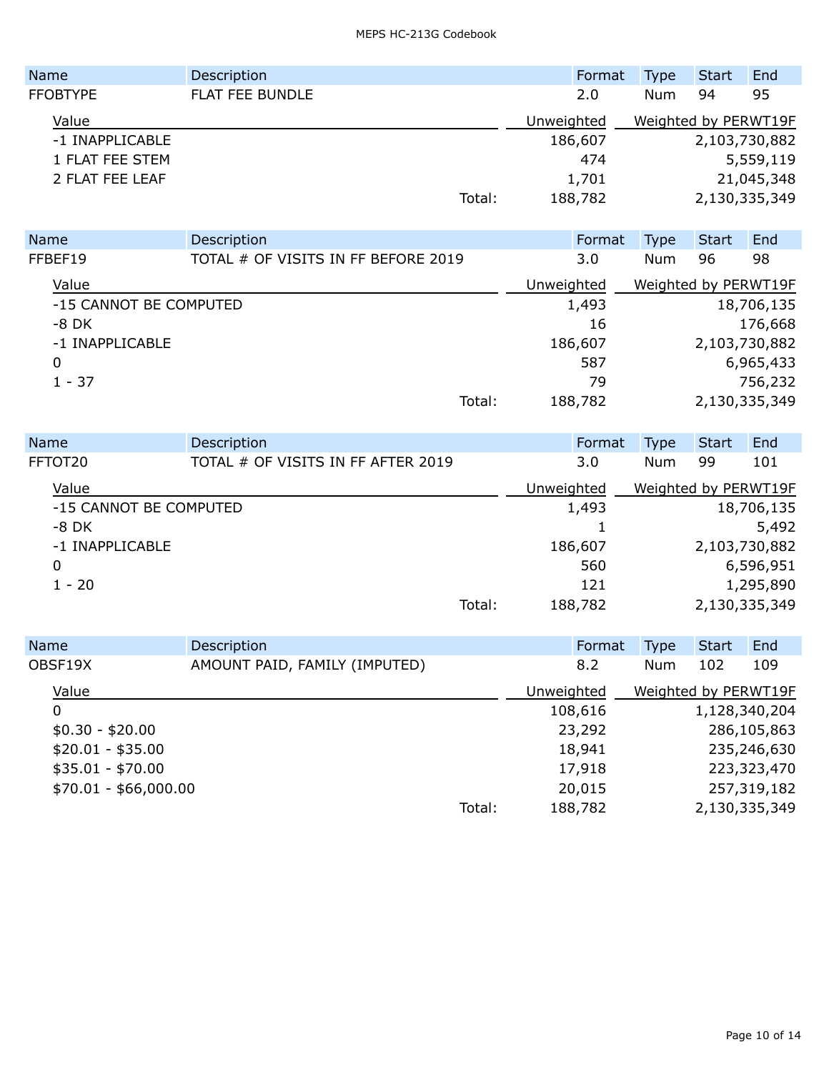| <b>Name</b>     | Description            |            | Format  | <b>Type</b>          | Start         | End        |
|-----------------|------------------------|------------|---------|----------------------|---------------|------------|
| <b>FFOBTYPE</b> | <b>FLAT FEE BUNDLE</b> |            | 2.0     | <b>Num</b>           | 94            | 95         |
| Value           |                        | Unweighted |         | Weighted by PERWT19F |               |            |
| -1 INAPPLICABLE |                        |            | 186,607 |                      | 2,103,730,882 |            |
| 1 FLAT FEE STEM |                        |            | 474     |                      |               | 5,559,119  |
| 2 FLAT FEE LEAF |                        |            | 1,701   |                      |               | 21,045,348 |
|                 |                        | Total:     | 188,782 |                      | 2,130,335,349 |            |

| <b>Name</b>            | Description                         |            | Format  | Type                 | <b>Start</b>  | End        |
|------------------------|-------------------------------------|------------|---------|----------------------|---------------|------------|
| FFBEF19                | TOTAL # OF VISITS IN FF BEFORE 2019 |            | 3.0     | Num                  | 96            | 98         |
| Value                  |                                     | Unweighted |         | Weighted by PERWT19F |               |            |
| -15 CANNOT BE COMPUTED |                                     |            | 1,493   |                      |               | 18,706,135 |
| $-8$ DK                |                                     |            | 16      |                      |               | 176,668    |
| -1 INAPPLICABLE        |                                     |            | 186,607 |                      | 2,103,730,882 |            |
| 0                      |                                     |            | 587     |                      |               | 6,965,433  |
| $1 - 37$               |                                     |            | 79      |                      |               | 756,232    |
|                        |                                     | Total:     | 188,782 |                      | 2,130,335,349 |            |
|                        |                                     |            |         |                      |               |            |

| <b>Name</b>     | Description                        |        | Format     | <b>Type</b>          | <b>Start</b> | End           |
|-----------------|------------------------------------|--------|------------|----------------------|--------------|---------------|
| FFTOT20         | TOTAL # OF VISITS IN FF AFTER 2019 |        | 3.0        | Num                  | 99           | 101           |
| Value           |                                    |        | Unweighted | Weighted by PERWT19F |              |               |
|                 | -15 CANNOT BE COMPUTED             |        | 1,493      |                      |              | 18,706,135    |
| $-8$ DK         |                                    |        |            |                      |              | 5,492         |
| -1 INAPPLICABLE |                                    |        | 186,607    |                      |              | 2,103,730,882 |
| 0               |                                    |        | 560        |                      |              | 6,596,951     |
| $1 - 20$        |                                    |        | 121        |                      |              | 1,295,890     |
|                 |                                    | Total: | 188,782    |                      |              | 2,130,335,349 |

| Name                  | Description                   |        |            | Format  | <b>Type</b>          | <b>Start</b> | End           |
|-----------------------|-------------------------------|--------|------------|---------|----------------------|--------------|---------------|
| OBSF19X               | AMOUNT PAID, FAMILY (IMPUTED) |        |            | 8.2     | Num                  | 102          | 109           |
| Value                 |                               |        | Unweighted |         | Weighted by PERWT19F |              |               |
| 0                     |                               |        |            | 108,616 |                      |              | 1,128,340,204 |
| $$0.30 - $20.00$      |                               |        |            | 23,292  |                      |              | 286,105,863   |
| $$20.01 - $35.00$     |                               |        |            | 18,941  |                      |              | 235,246,630   |
| $$35.01 - $70.00$     |                               |        |            | 17,918  |                      |              | 223,323,470   |
| $$70.01 - $66,000.00$ |                               |        |            | 20,015  |                      |              | 257,319,182   |
|                       |                               | Total: |            | 188,782 |                      |              | 2,130,335,349 |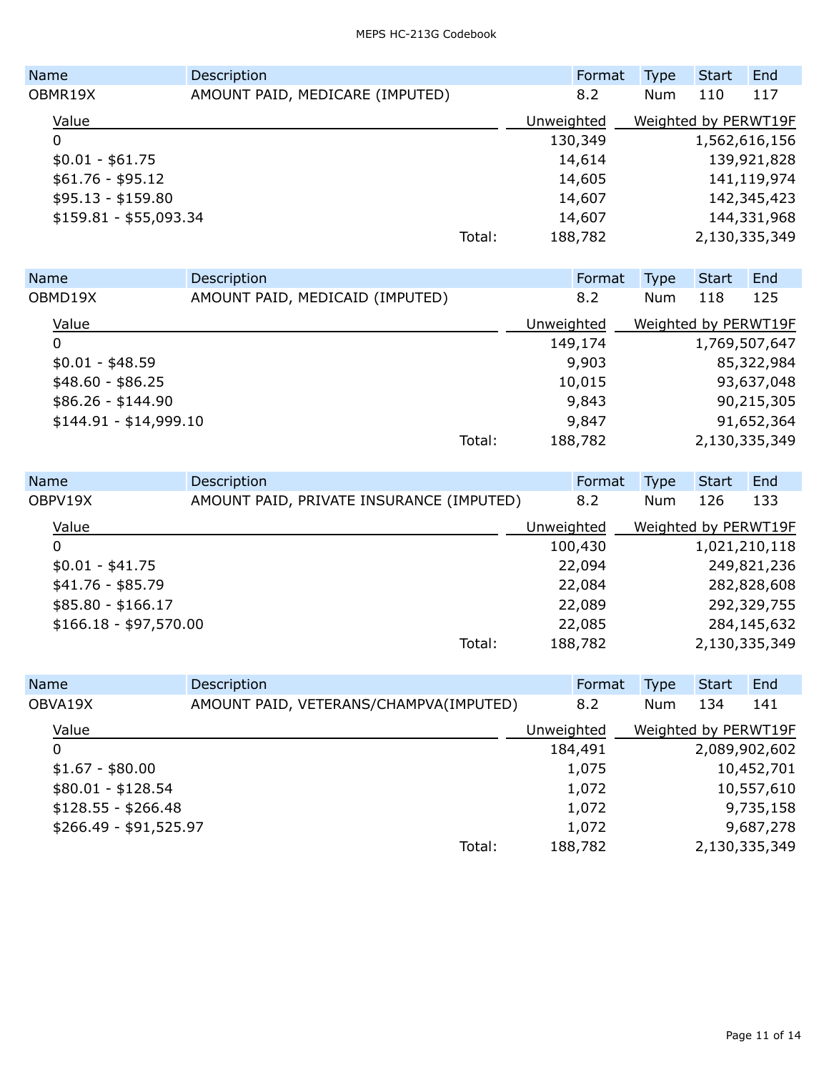| <b>Name</b>            | Description                     |        |            | Format  | <b>Type</b>          | Start | End           |
|------------------------|---------------------------------|--------|------------|---------|----------------------|-------|---------------|
| OBMR19X                | AMOUNT PAID, MEDICARE (IMPUTED) |        |            | 8.2     | Num                  | 110   | 117           |
| Value                  |                                 |        | Unweighted |         | Weighted by PERWT19F |       |               |
| 0                      |                                 |        |            | 130,349 |                      |       | 1,562,616,156 |
| $$0.01 - $61.75$       |                                 |        |            | 14,614  |                      |       | 139,921,828   |
| $$61.76 - $95.12$      |                                 |        |            | 14,605  |                      |       | 141,119,974   |
| $$95.13 - $159.80$     |                                 |        |            | 14,607  |                      |       | 142,345,423   |
| \$159.81 - \$55,093.34 |                                 |        |            | 14,607  |                      |       | 144,331,968   |
|                        |                                 | Total: |            | 188,782 |                      |       | 2,130,335,349 |

| <b>Name</b>            | Description                     |        |            | Format  | <b>Type</b>          | <b>Start</b> | End           |
|------------------------|---------------------------------|--------|------------|---------|----------------------|--------------|---------------|
| OBMD19X                | AMOUNT PAID, MEDICAID (IMPUTED) |        |            | 8.2     | Num                  | 118          | 125           |
| Value                  |                                 |        | Unweighted |         | Weighted by PERWT19F |              |               |
| 0                      |                                 |        |            | 149,174 |                      |              | 1,769,507,647 |
| $$0.01 - $48.59$       |                                 |        |            | 9,903   |                      |              | 85,322,984    |
| $$48.60 - $86.25$      |                                 |        |            | 10,015  |                      |              | 93,637,048    |
| $$86.26 - $144.90$     |                                 |        |            | 9,843   |                      |              | 90,215,305    |
| $$144.91 - $14,999.10$ |                                 |        |            | 9,847   |                      |              | 91,652,364    |
|                        |                                 | Total: |            | 188,782 |                      |              | 2,130,335,349 |

| Name                   | Description                              | Format     | <b>Type</b>          | Start | End           |
|------------------------|------------------------------------------|------------|----------------------|-------|---------------|
| OBPV19X                | AMOUNT PAID, PRIVATE INSURANCE (IMPUTED) | 8.2        | Num                  | 126   | 133           |
| Value                  |                                          | Unweighted | Weighted by PERWT19F |       |               |
| 0                      |                                          | 100,430    |                      |       | 1,021,210,118 |
| $$0.01 - $41.75$       |                                          | 22,094     |                      |       | 249,821,236   |
| $$41.76 - $85.79$      |                                          | 22,084     |                      |       | 282,828,608   |
| $$85.80 - $166.17$     |                                          | 22,089     |                      |       | 292,329,755   |
| $$166.18 - $97,570.00$ |                                          | 22,085     |                      |       | 284,145,632   |
|                        | Total:                                   | 188,782    |                      |       | 2,130,335,349 |

| Name                   |                     | Description                            |            | Format  | <b>Type</b>          | <b>Start</b> | End           |
|------------------------|---------------------|----------------------------------------|------------|---------|----------------------|--------------|---------------|
| OBVA19X                |                     | AMOUNT PAID, VETERANS/CHAMPVA(IMPUTED) | 8.2        |         | Num                  | 134          | 141           |
|                        | Value               |                                        | Unweighted |         | Weighted by PERWT19F |              |               |
|                        | 0                   |                                        |            | 184,491 |                      |              | 2,089,902,602 |
|                        | $$1.67 - $80.00$    |                                        |            | 1,075   |                      |              | 10,452,701    |
|                        | $$80.01 - $128.54$  |                                        |            | 1,072   |                      |              | 10,557,610    |
|                        | $$128.55 - $266.48$ |                                        |            | 1,072   |                      |              | 9,735,158     |
| $$266.49 - $91,525.97$ |                     |                                        | 1,072      |         |                      | 9,687,278    |               |
|                        |                     | Total:                                 |            | 188,782 |                      |              | 2,130,335,349 |
|                        |                     |                                        |            |         |                      |              |               |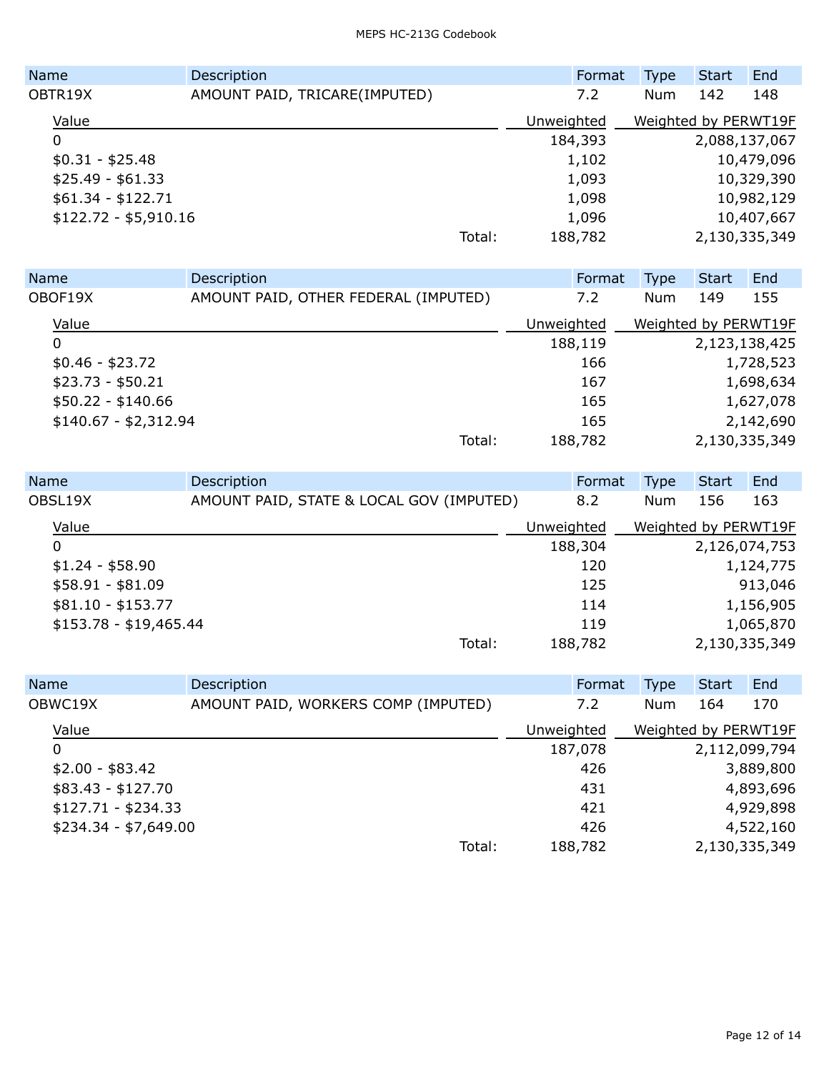| <b>Name</b>           | Description                   |        | Format     | <b>Type</b>          | Start | End           |
|-----------------------|-------------------------------|--------|------------|----------------------|-------|---------------|
| OBTR19X               | AMOUNT PAID, TRICARE(IMPUTED) |        | 7.2        | Num                  | 142   | 148           |
| Value                 |                               |        | Unweighted | Weighted by PERWT19F |       |               |
| 0                     |                               |        | 184,393    |                      |       | 2,088,137,067 |
| $$0.31 - $25.48$      |                               |        | 1,102      |                      |       | 10,479,096    |
| $$25.49 - $61.33$     |                               |        | 1,093      |                      |       | 10,329,390    |
| $$61.34 - $122.71$    |                               |        | 1,098      |                      |       | 10,982,129    |
| $$122.72 - $5,910.16$ |                               |        | 1,096      |                      |       | 10,407,667    |
|                       |                               | Total: | 188,782    |                      |       | 2,130,335,349 |

| <b>Name</b>           | Description                          |            | Format  | Type                 | Start         | End       |
|-----------------------|--------------------------------------|------------|---------|----------------------|---------------|-----------|
| OBOF19X               | AMOUNT PAID, OTHER FEDERAL (IMPUTED) |            | 7.2     | <b>Num</b>           | 149           | 155       |
| Value                 |                                      | Unweighted |         | Weighted by PERWT19F |               |           |
| 0                     |                                      |            | 188,119 |                      | 2,123,138,425 |           |
| $$0.46 - $23.72$      |                                      |            | 166     |                      |               | 1,728,523 |
| $$23.73 - $50.21$     |                                      |            | 167     |                      |               | 1,698,634 |
| $$50.22 - $140.66$    |                                      |            | 165     |                      |               | 1,627,078 |
| $$140.67 - $2,312.94$ |                                      |            | 165     |                      |               | 2,142,690 |
|                       | Total:                               |            | 188,782 |                      | 2,130,335,349 |           |

| Name                   | Description                              | Format     | <b>Type</b>          | <b>Start</b> | End           |
|------------------------|------------------------------------------|------------|----------------------|--------------|---------------|
| OBSL19X                | AMOUNT PAID, STATE & LOCAL GOV (IMPUTED) | 8.2        | Num                  | 156          | 163           |
| Value                  |                                          | Unweighted | Weighted by PERWT19F |              |               |
| 0                      |                                          | 188,304    |                      |              | 2,126,074,753 |
| $$1.24 - $58.90$       |                                          | 120        |                      |              | 1,124,775     |
| $$58.91 - $81.09$      |                                          | 125        |                      |              | 913,046       |
| $$81.10 - $153.77$     |                                          | 114        |                      |              | 1,156,905     |
| $$153.78 - $19,465.44$ |                                          | 119        |                      |              | 1,065,870     |
|                        | Total:                                   | 188,782    |                      |              | 2,130,335,349 |

| Name                  | Description                         |            | Format  | Type                 | <b>Start</b>  | End           |
|-----------------------|-------------------------------------|------------|---------|----------------------|---------------|---------------|
| OBWC19X               | AMOUNT PAID, WORKERS COMP (IMPUTED) |            | 7.2     | Num                  | 164           | 170           |
| Value                 |                                     | Unweighted |         | Weighted by PERWT19F |               |               |
| 0                     |                                     |            | 187,078 |                      | 2,112,099,794 |               |
| $$2.00 - $83.42$      |                                     |            | 426     |                      |               | 3,889,800     |
| $$83.43 - $127.70$    |                                     |            | 431     |                      |               | 4,893,696     |
| $$127.71 - $234.33$   |                                     |            | 421     |                      |               | 4,929,898     |
| $$234.34 - $7,649.00$ |                                     |            | 426     |                      |               | 4,522,160     |
|                       | Total:                              |            | 188,782 |                      |               | 2,130,335,349 |
|                       |                                     |            |         |                      |               |               |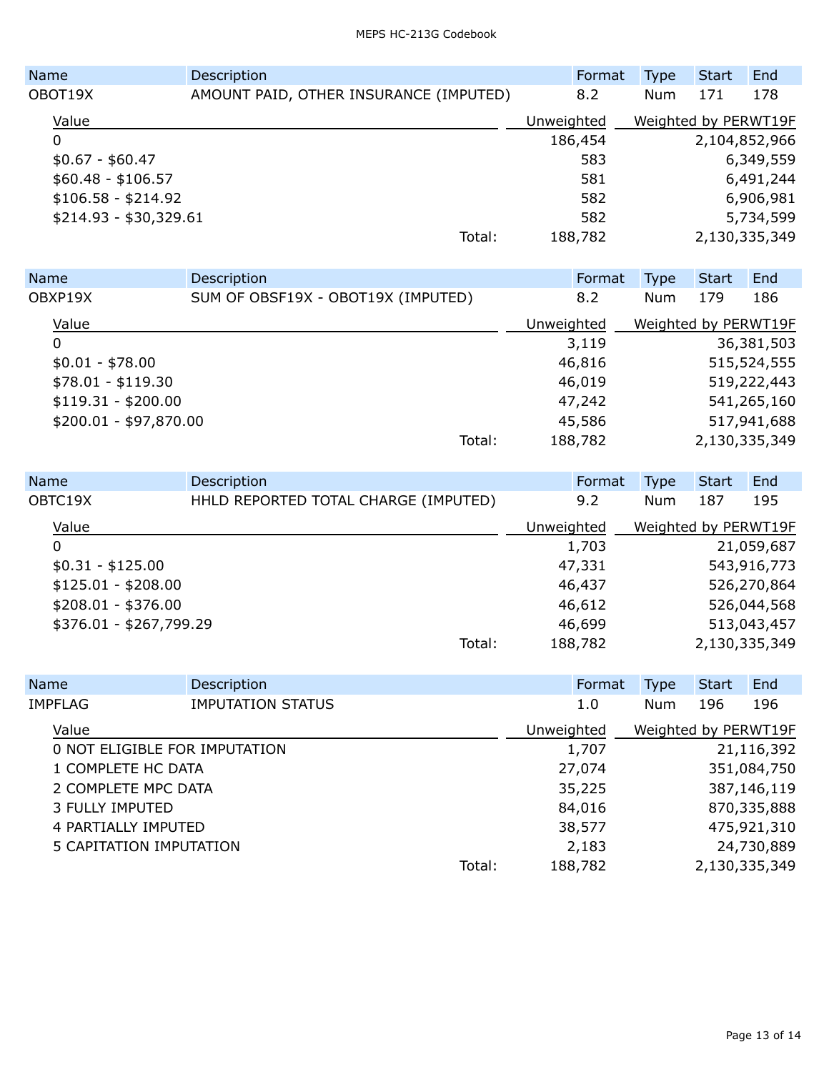| <b>Name</b>            | Description                            |            | Format  | <b>Type</b>          | <b>Start</b>  | End       |
|------------------------|----------------------------------------|------------|---------|----------------------|---------------|-----------|
| OBOT19X                | AMOUNT PAID, OTHER INSURANCE (IMPUTED) |            | 8.2     | Num                  | 171           | 178       |
| Value                  |                                        | Unweighted |         | Weighted by PERWT19F |               |           |
| 0                      |                                        |            | 186,454 |                      | 2,104,852,966 |           |
| $$0.67 - $60.47$       |                                        |            | 583     |                      |               | 6,349,559 |
| $$60.48 - $106.57$     |                                        |            | 581     |                      |               | 6,491,244 |
| $$106.58 - $214.92$    |                                        |            | 582     |                      |               | 6,906,981 |
| $$214.93 - $30,329.61$ |                                        |            | 582     |                      |               | 5,734,599 |
|                        | Total:                                 |            | 188,782 |                      | 2,130,335,349 |           |

| <b>Name</b>            | Description                        |            | Format  | <b>Type</b>          | Start         | End         |
|------------------------|------------------------------------|------------|---------|----------------------|---------------|-------------|
| OBXP19X                | SUM OF OBSF19X - OBOT19X (IMPUTED) |            | 8.2     | Num                  | 179           | 186         |
| Value                  |                                    | Unweighted |         | Weighted by PERWT19F |               |             |
| 0                      |                                    |            | 3,119   |                      |               | 36,381,503  |
| $$0.01 - $78.00$       |                                    |            | 46,816  |                      |               | 515,524,555 |
| $$78.01 - $119.30$     |                                    |            | 46,019  |                      |               | 519,222,443 |
| $$119.31 - $200.00$    |                                    |            | 47,242  |                      |               | 541,265,160 |
| $$200.01 - $97,870.00$ |                                    |            | 45,586  |                      |               | 517,941,688 |
|                        |                                    | Total:     | 188,782 |                      | 2,130,335,349 |             |

| Description                          |  | Type                                                                                    | <b>Start</b> | End                                   |
|--------------------------------------|--|-----------------------------------------------------------------------------------------|--------------|---------------------------------------|
| HHLD REPORTED TOTAL CHARGE (IMPUTED) |  | Num                                                                                     | 187          | 195                                   |
|                                      |  |                                                                                         |              |                                       |
|                                      |  |                                                                                         |              | 21,059,687                            |
|                                      |  |                                                                                         |              | 543,916,773                           |
|                                      |  |                                                                                         |              | 526,270,864                           |
|                                      |  |                                                                                         |              | 526,044,568                           |
| \$376.01 - \$267,799.29              |  |                                                                                         |              | 513,043,457                           |
| Total:                               |  |                                                                                         |              |                                       |
|                                      |  | Format<br>9.2<br>Unweighted<br>1,703<br>47,331<br>46,437<br>46,612<br>46,699<br>188,782 |              | Weighted by PERWT19F<br>2,130,335,349 |

|                    | Name                          | Description              |        | Format     | <b>Type</b>          | <b>Start</b> | End           |
|--------------------|-------------------------------|--------------------------|--------|------------|----------------------|--------------|---------------|
|                    | IMPFLAG                       | <b>IMPUTATION STATUS</b> |        | 1.0        | Num                  | 196          | 196           |
|                    | Value                         |                          |        | Unweighted | Weighted by PERWT19F |              |               |
|                    | 0 NOT ELIGIBLE FOR IMPUTATION |                          |        | 1,707      |                      |              | 21,116,392    |
| 1 COMPLETE HC DATA |                               | 27,074                   |        |            | 351,084,750          |              |               |
|                    | 2 COMPLETE MPC DATA           |                          |        | 35,225     |                      |              | 387,146,119   |
|                    | <b>3 FULLY IMPUTED</b>        |                          |        | 84,016     |                      |              | 870,335,888   |
|                    | 4 PARTIALLY IMPUTED           |                          |        | 38,577     |                      |              | 475,921,310   |
|                    | 5 CAPITATION IMPUTATION       |                          |        | 2,183      |                      |              | 24,730,889    |
|                    |                               |                          | Total: | 188,782    |                      |              | 2,130,335,349 |
|                    |                               |                          |        |            |                      |              |               |